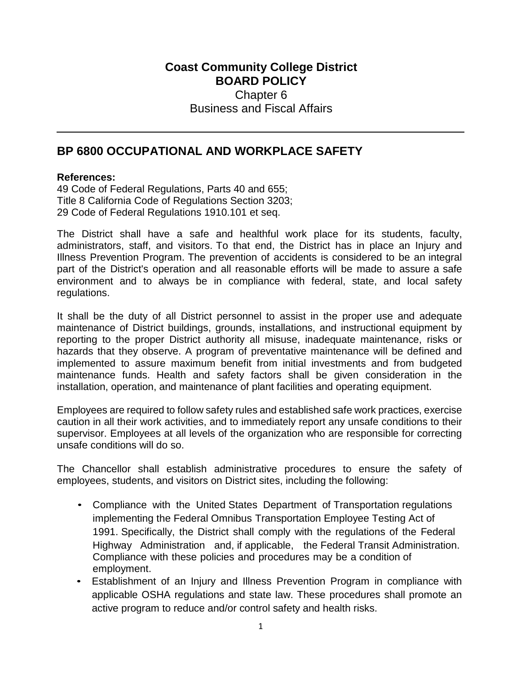## **Coast Community College District BOARD POLICY** Chapter 6 Business and Fiscal Affairs

## **BP 6800 OCCUPATIONAL AND WORKPLACE SAFETY**

## **References:**

49 Code of Federal Regulations, Parts 40 and 655; Title 8 California Code of Regulations Section 3203; 29 Code of Federal Regulations 1910.101 et seq.

The District shall have a safe and healthful work place for its students, faculty, administrators, staff, and visitors. To that end, the District has in place an Injury and Illness Prevention Program. The prevention of accidents is considered to be an integral part of the District's operation and all reasonable efforts will be made to assure a safe environment and to always be in compliance with federal, state, and local safety regulations.

It shall be the duty of all District personnel to assist in the proper use and adequate maintenance of District buildings, grounds, installations, and instructional equipment by reporting to the proper District authority all misuse, inadequate maintenance, risks or hazards that they observe. A program of preventative maintenance will be defined and implemented to assure maximum benefit from initial investments and from budgeted maintenance funds. Health and safety factors shall be given consideration in the installation, operation, and maintenance of plant facilities and operating equipment.

Employees are required to follow safety rules and established safe work practices, exercise caution in all their work activities, and to immediately report any unsafe conditions to their supervisor. Employees at all levels of the organization who are responsible for correcting unsafe conditions will do so.

The Chancellor shall establish administrative procedures to ensure the safety of employees, students, and visitors on District sites, including the following:

- Compliance with the United States Department of Transportation regulations implementing the Federal Omnibus Transportation Employee Testing Act of 1991. Specifically, the District shall comply with the regulations of the Federal Highway Administration and, if applicable, the Federal Transit Administration. Compliance with these policies and procedures may be a condition of employment.
- Establishment of an Injury and Illness Prevention Program in compliance with applicable OSHA regulations and state law. These procedures shall promote an active program to reduce and/or control safety and health risks.